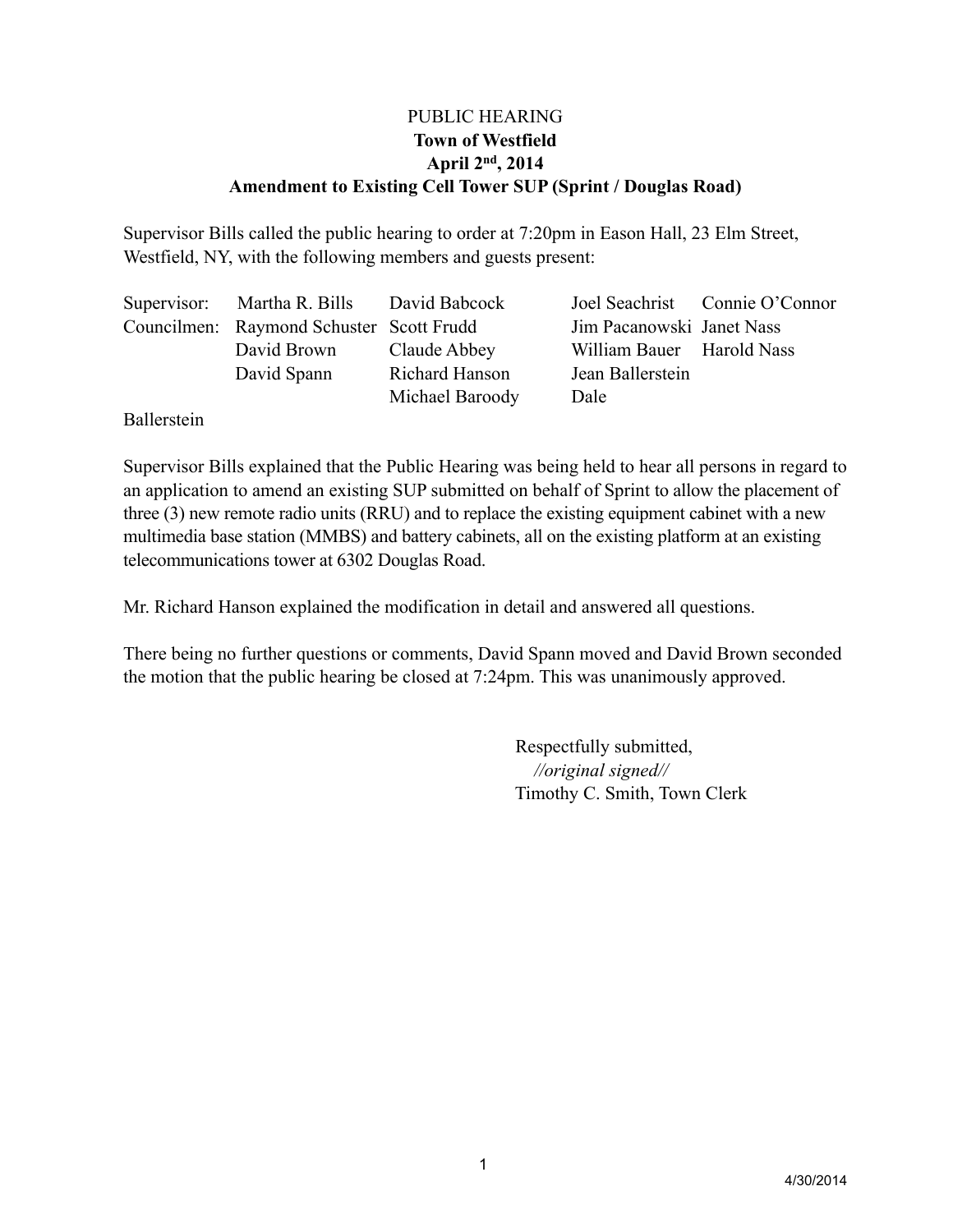# PUBLIC HEARING **Town of Westfield April 2nd, 2014 Amendment to Existing Cell Tower SUP (Sprint / Douglas Road)**

Supervisor Bills called the public hearing to order at 7:20pm in Eason Hall, 23 Elm Street, Westfield, NY, with the following members and guests present:

|  | Supervisor: Martha R. Bills David Babcock |                 |                           | Joel Seachrist Connie O'Connor |
|--|-------------------------------------------|-----------------|---------------------------|--------------------------------|
|  | Councilmen: Raymond Schuster Scott Frudd  |                 | Jim Pacanowski Janet Nass |                                |
|  | David Brown                               | Claude Abbey    | William Bauer Harold Nass |                                |
|  | David Spann                               | Richard Hanson  | Jean Ballerstein          |                                |
|  |                                           | Michael Baroody | Dale                      |                                |

Ballerstein

Supervisor Bills explained that the Public Hearing was being held to hear all persons in regard to an application to amend an existing SUP submitted on behalf of Sprint to allow the placement of three (3) new remote radio units (RRU) and to replace the existing equipment cabinet with a new multimedia base station (MMBS) and battery cabinets, all on the existing platform at an existing telecommunications tower at 6302 Douglas Road.

Mr. Richard Hanson explained the modification in detail and answered all questions.

There being no further questions or comments, David Spann moved and David Brown seconded the motion that the public hearing be closed at 7:24pm. This was unanimously approved.

> Respectfully submitted, *//original signed//* Timothy C. Smith, Town Clerk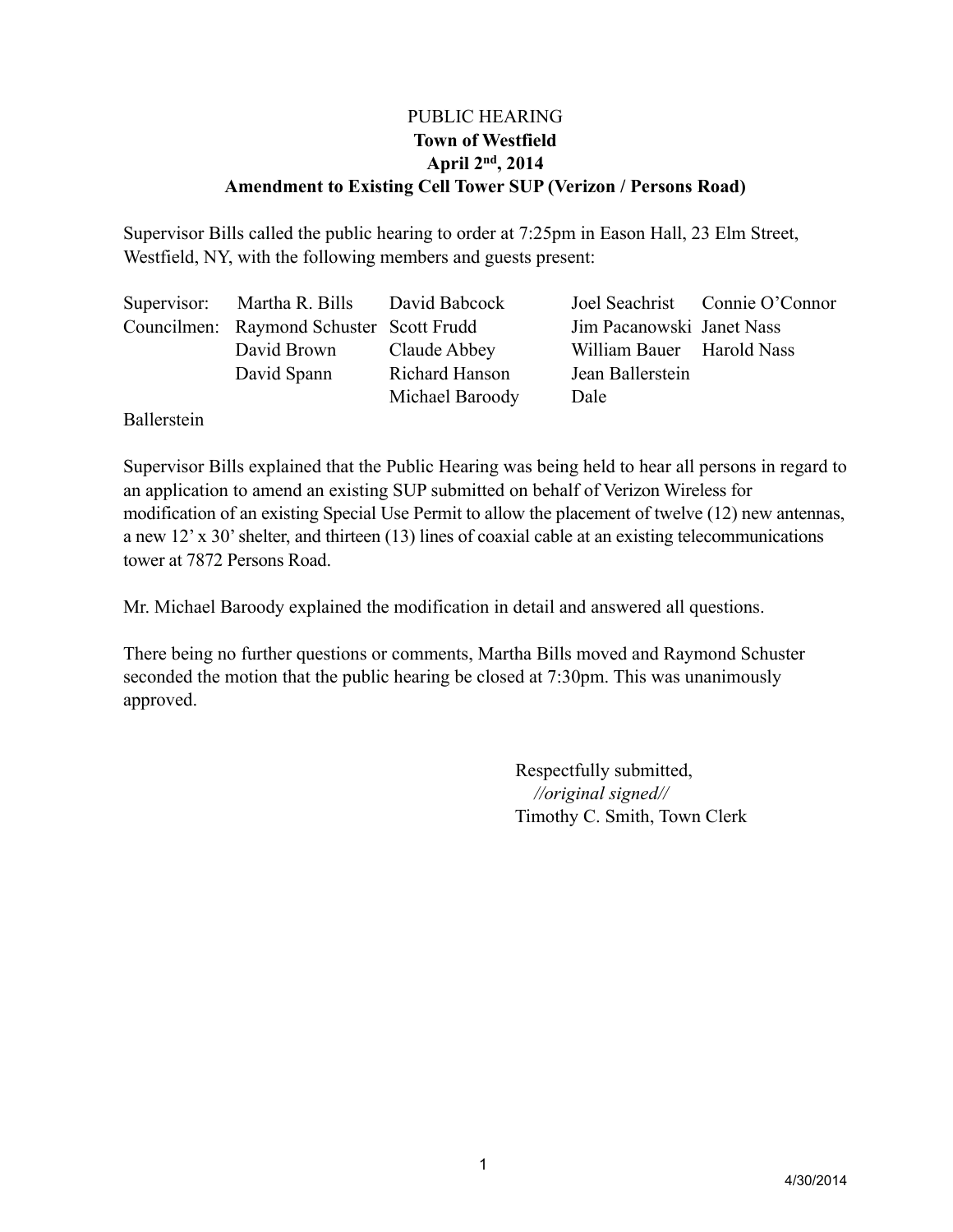# PUBLIC HEARING **Town of Westfield April 2nd, 2014 Amendment to Existing Cell Tower SUP (Verizon / Persons Road)**

Supervisor Bills called the public hearing to order at 7:25pm in Eason Hall, 23 Elm Street, Westfield, NY, with the following members and guests present:

|  | Supervisor: Martha R. Bills David Babcock |                 |                           | Joel Seachrist Connie O'Connor |
|--|-------------------------------------------|-----------------|---------------------------|--------------------------------|
|  | Councilmen: Raymond Schuster Scott Frudd  |                 | Jim Pacanowski Janet Nass |                                |
|  | David Brown                               | Claude Abbey    | William Bauer Harold Nass |                                |
|  | David Spann                               | Richard Hanson  | Jean Ballerstein          |                                |
|  |                                           | Michael Baroody | Dale                      |                                |

Ballerstein

Supervisor Bills explained that the Public Hearing was being held to hear all persons in regard to an application to amend an existing SUP submitted on behalf of Verizon Wireless for modification of an existing Special Use Permit to allow the placement of twelve (12) new antennas, a new 12' x 30' shelter, and thirteen (13) lines of coaxial cable at an existing telecommunications tower at 7872 Persons Road.

Mr. Michael Baroody explained the modification in detail and answered all questions.

There being no further questions or comments, Martha Bills moved and Raymond Schuster seconded the motion that the public hearing be closed at 7:30pm. This was unanimously approved.

> Respectfully submitted, *//original signed//* Timothy C. Smith, Town Clerk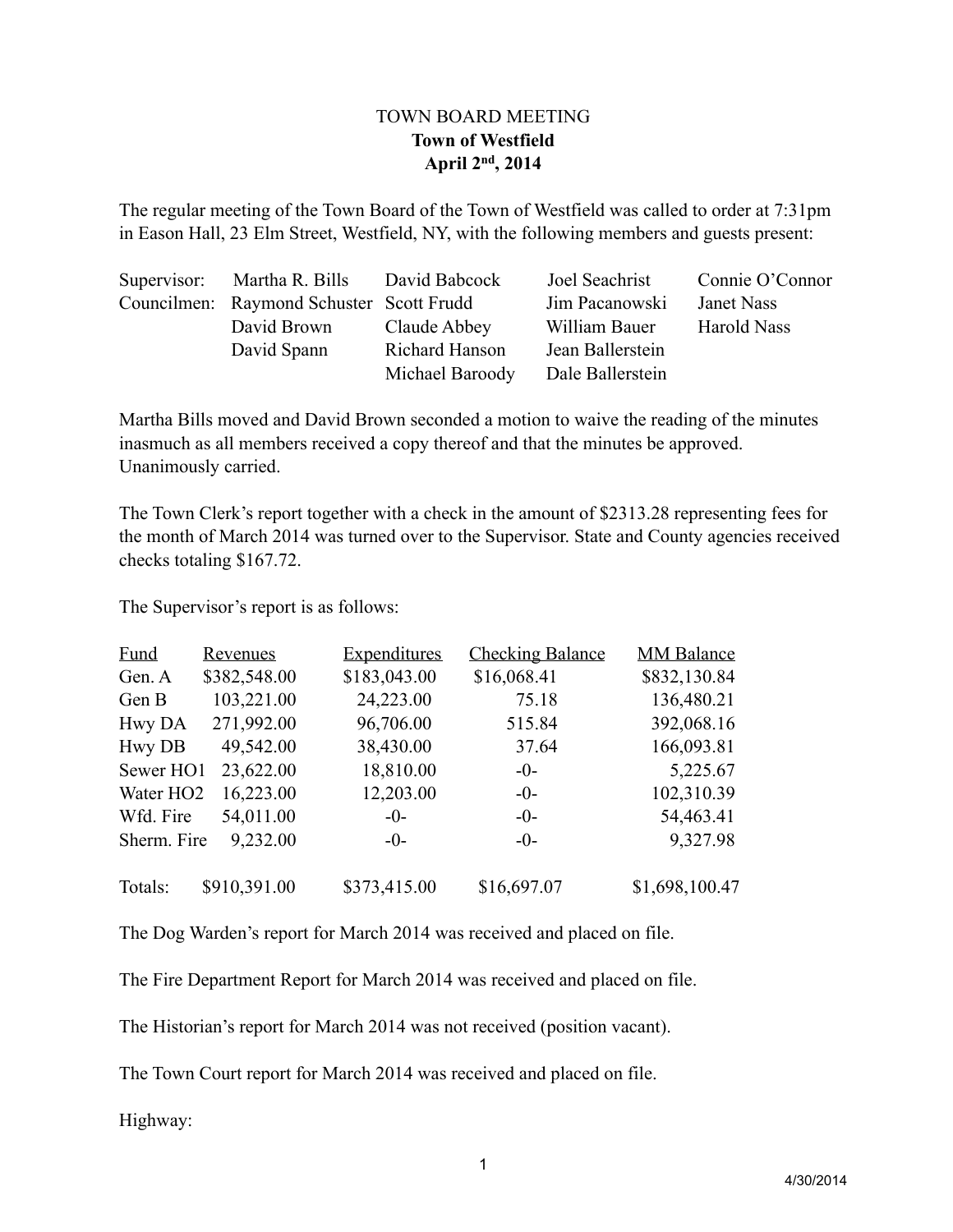# TOWN BOARD MEETING **Town of Westfield April 2nd, 2014**

The regular meeting of the Town Board of the Town of Westfield was called to order at 7:31pm in Eason Hall, 23 Elm Street, Westfield, NY, with the following members and guests present:

| Supervisor: Martha R. Bills David Babcock |                 | Joel Seachrist   | Connie O'Connor |
|-------------------------------------------|-----------------|------------------|-----------------|
| Councilmen: Raymond Schuster Scott Frudd  |                 | Jim Pacanowski   | Janet Nass      |
| David Brown                               | Claude Abbey    | William Bauer    | Harold Nass     |
| David Spann                               | Richard Hanson  | Jean Ballerstein |                 |
|                                           | Michael Baroody | Dale Ballerstein |                 |

Martha Bills moved and David Brown seconded a motion to waive the reading of the minutes inasmuch as all members received a copy thereof and that the minutes be approved. Unanimously carried.

The Town Clerk's report together with a check in the amount of \$2313.28 representing fees for the month of March 2014 was turned over to the Supervisor. State and County agencies received checks totaling \$167.72.

The Supervisor's report is as follows:

| <b>Fund</b>           | <b>Revenues</b> | <b>Expenditures</b> | <b>Checking Balance</b> | <b>MM Balance</b> |
|-----------------------|-----------------|---------------------|-------------------------|-------------------|
| Gen. A                | \$382,548.00    | \$183,043.00        | \$16,068.41             | \$832,130.84      |
| Gen B                 | 103,221.00      | 24,223.00           | 75.18                   | 136,480.21        |
| Hwy DA                | 271,992.00      | 96,706.00           | 515.84                  | 392,068.16        |
| <b>Hwy DB</b>         | 49,542.00       | 38,430.00           | 37.64                   | 166,093.81        |
| Sewer HO1             | 23,622.00       | 18,810.00           | $-0-$                   | 5,225.67          |
| Water HO <sub>2</sub> | 16,223.00       | 12,203.00           | $-0-$                   | 102,310.39        |
| Wfd. Fire             | 54,011.00       | $-0-$               | $-0-$                   | 54,463.41         |
| Sherm. Fire           | 9,232.00        | $-0-$               | $-0-$                   | 9,327.98          |
| Totals:               | \$910,391.00    | \$373,415.00        | \$16,697.07             | \$1,698,100.47    |

The Dog Warden's report for March 2014 was received and placed on file.

The Fire Department Report for March 2014 was received and placed on file.

The Historian's report for March 2014 was not received (position vacant).

The Town Court report for March 2014 was received and placed on file.

Highway: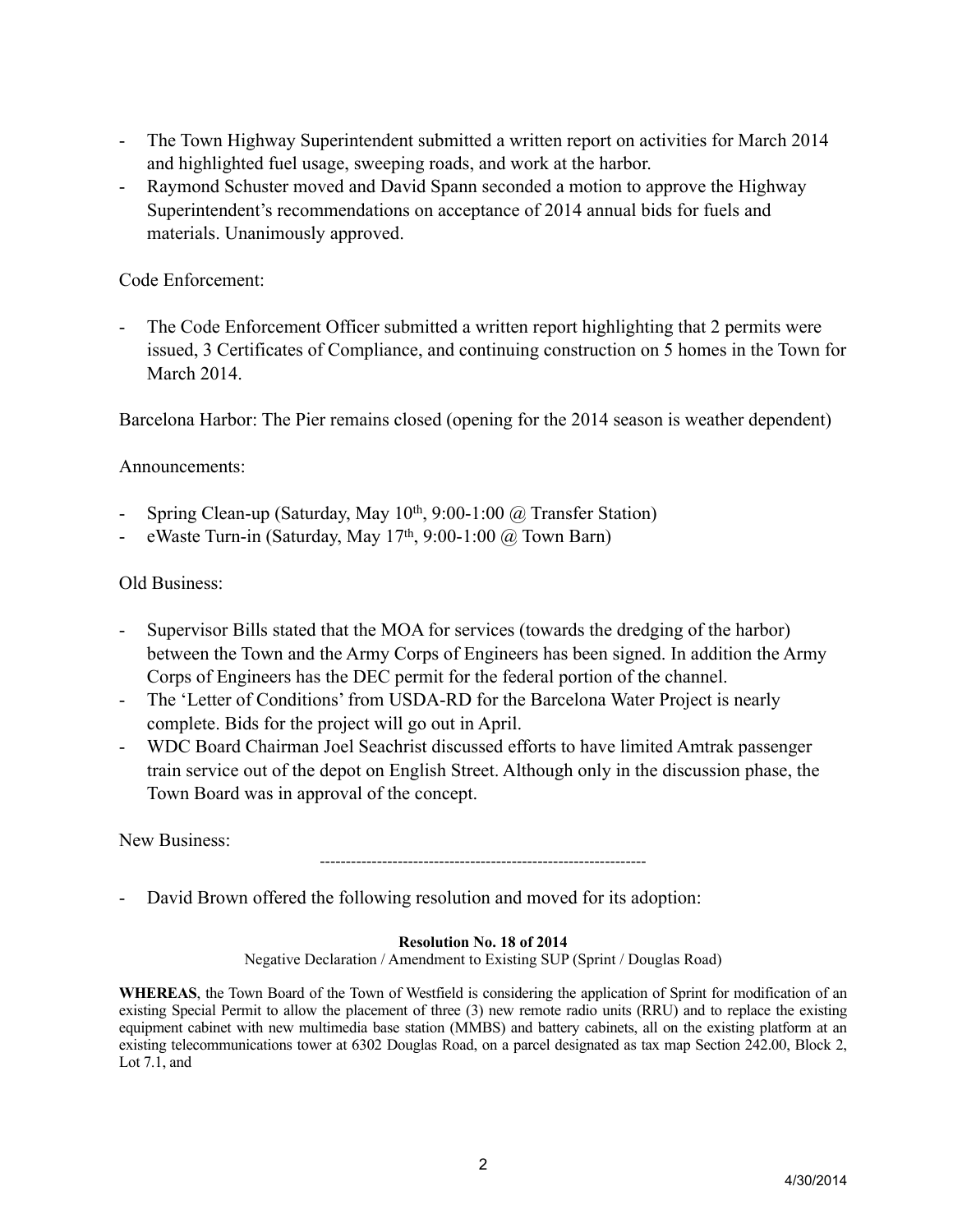- The Town Highway Superintendent submitted a written report on activities for March 2014 and highlighted fuel usage, sweeping roads, and work at the harbor.
- Raymond Schuster moved and David Spann seconded a motion to approve the Highway Superintendent's recommendations on acceptance of 2014 annual bids for fuels and materials. Unanimously approved.

## Code Enforcement:

The Code Enforcement Officer submitted a written report highlighting that 2 permits were issued, 3 Certificates of Compliance, and continuing construction on 5 homes in the Town for March 2014.

Barcelona Harbor: The Pier remains closed (opening for the 2014 season is weather dependent)

## Announcements:

- Spring Clean-up (Saturday, May 10<sup>th</sup>, 9:00-1:00 @ Transfer Station)
- eWaste Turn-in (Saturday, May  $17<sup>th</sup>$ , 9:00-1:00  $\omega$  Town Barn)

## Old Business:

- Supervisor Bills stated that the MOA for services (towards the dredging of the harbor) between the Town and the Army Corps of Engineers has been signed. In addition the Army Corps of Engineers has the DEC permit for the federal portion of the channel.
- The 'Letter of Conditions' from USDA-RD for the Barcelona Water Project is nearly complete. Bids for the project will go out in April.
- WDC Board Chairman Joel Seachrist discussed efforts to have limited Amtrak passenger train service out of the depot on English Street. Although only in the discussion phase, the Town Board was in approval of the concept.

New Business:

---------------------------------------------------------------

- David Brown offered the following resolution and moved for its adoption:

### **Resolution No. 18 of 2014**

Negative Declaration / Amendment to Existing SUP (Sprint / Douglas Road)

**WHEREAS**, the Town Board of the Town of Westfield is considering the application of Sprint for modification of an existing Special Permit to allow the placement of three (3) new remote radio units (RRU) and to replace the existing equipment cabinet with new multimedia base station (MMBS) and battery cabinets, all on the existing platform at an existing telecommunications tower at 6302 Douglas Road, on a parcel designated as tax map Section 242.00, Block 2, Lot 7.1, and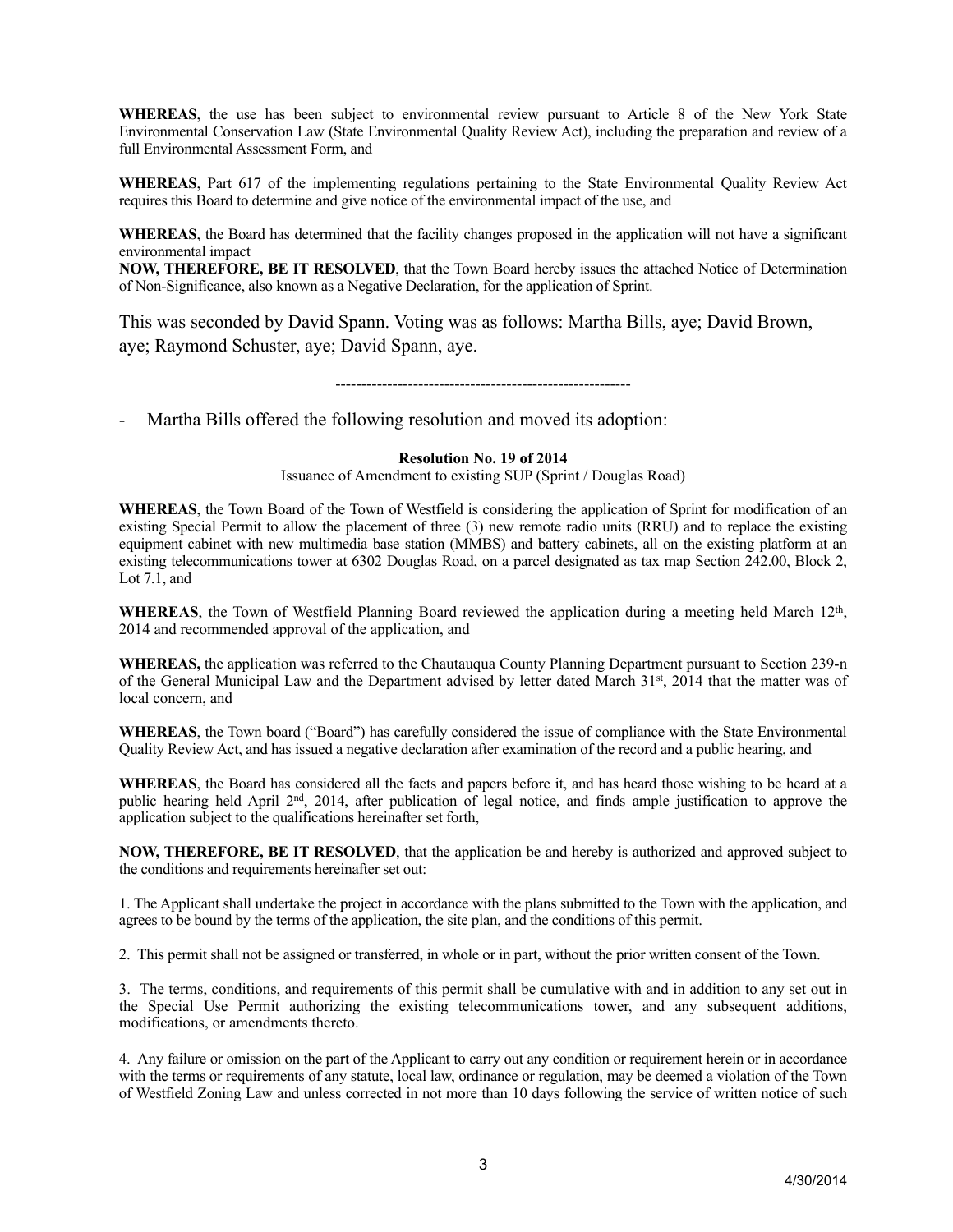**WHEREAS**, the use has been subject to environmental review pursuant to Article 8 of the New York State Environmental Conservation Law (State Environmental Quality Review Act), including the preparation and review of a full Environmental Assessment Form, and

**WHEREAS**, Part 617 of the implementing regulations pertaining to the State Environmental Quality Review Act requires this Board to determine and give notice of the environmental impact of the use, and

**WHEREAS**, the Board has determined that the facility changes proposed in the application will not have a significant environmental impact

**NOW, THEREFORE, BE IT RESOLVED**, that the Town Board hereby issues the attached Notice of Determination of Non-Significance, also known as a Negative Declaration, for the application of Sprint.

This was seconded by David Spann. Voting was as follows: Martha Bills, aye; David Brown, aye; Raymond Schuster, aye; David Spann, aye.

---------------------------------------------------------

- Martha Bills offered the following resolution and moved its adoption:

#### **Resolution No. 19 of 2014**

Issuance of Amendment to existing SUP (Sprint / Douglas Road)

**WHEREAS**, the Town Board of the Town of Westfield is considering the application of Sprint for modification of an existing Special Permit to allow the placement of three (3) new remote radio units (RRU) and to replace the existing equipment cabinet with new multimedia base station (MMBS) and battery cabinets, all on the existing platform at an existing telecommunications tower at 6302 Douglas Road, on a parcel designated as tax map Section 242.00, Block 2, Lot 7.1, and

**WHEREAS**, the Town of Westfield Planning Board reviewed the application during a meeting held March 12<sup>th</sup>, 2014 and recommended approval of the application, and

**WHEREAS,** the application was referred to the Chautauqua County Planning Department pursuant to Section 239-n of the General Municipal Law and the Department advised by letter dated March 31st, 2014 that the matter was of local concern, and

**WHEREAS**, the Town board ("Board") has carefully considered the issue of compliance with the State Environmental Quality Review Act, and has issued a negative declaration after examination of the record and a public hearing, and

**WHEREAS**, the Board has considered all the facts and papers before it, and has heard those wishing to be heard at a public hearing held April 2nd, 2014, after publication of legal notice, and finds ample justification to approve the application subject to the qualifications hereinafter set forth,

**NOW, THEREFORE, BE IT RESOLVED**, that the application be and hereby is authorized and approved subject to the conditions and requirements hereinafter set out:

1. The Applicant shall undertake the project in accordance with the plans submitted to the Town with the application, and agrees to be bound by the terms of the application, the site plan, and the conditions of this permit.

2. This permit shall not be assigned or transferred, in whole or in part, without the prior written consent of the Town.

3. The terms, conditions, and requirements of this permit shall be cumulative with and in addition to any set out in the Special Use Permit authorizing the existing telecommunications tower, and any subsequent additions, modifications, or amendments thereto.

4. Any failure or omission on the part of the Applicant to carry out any condition or requirement herein or in accordance with the terms or requirements of any statute, local law, ordinance or regulation, may be deemed a violation of the Town of Westfield Zoning Law and unless corrected in not more than 10 days following the service of written notice of such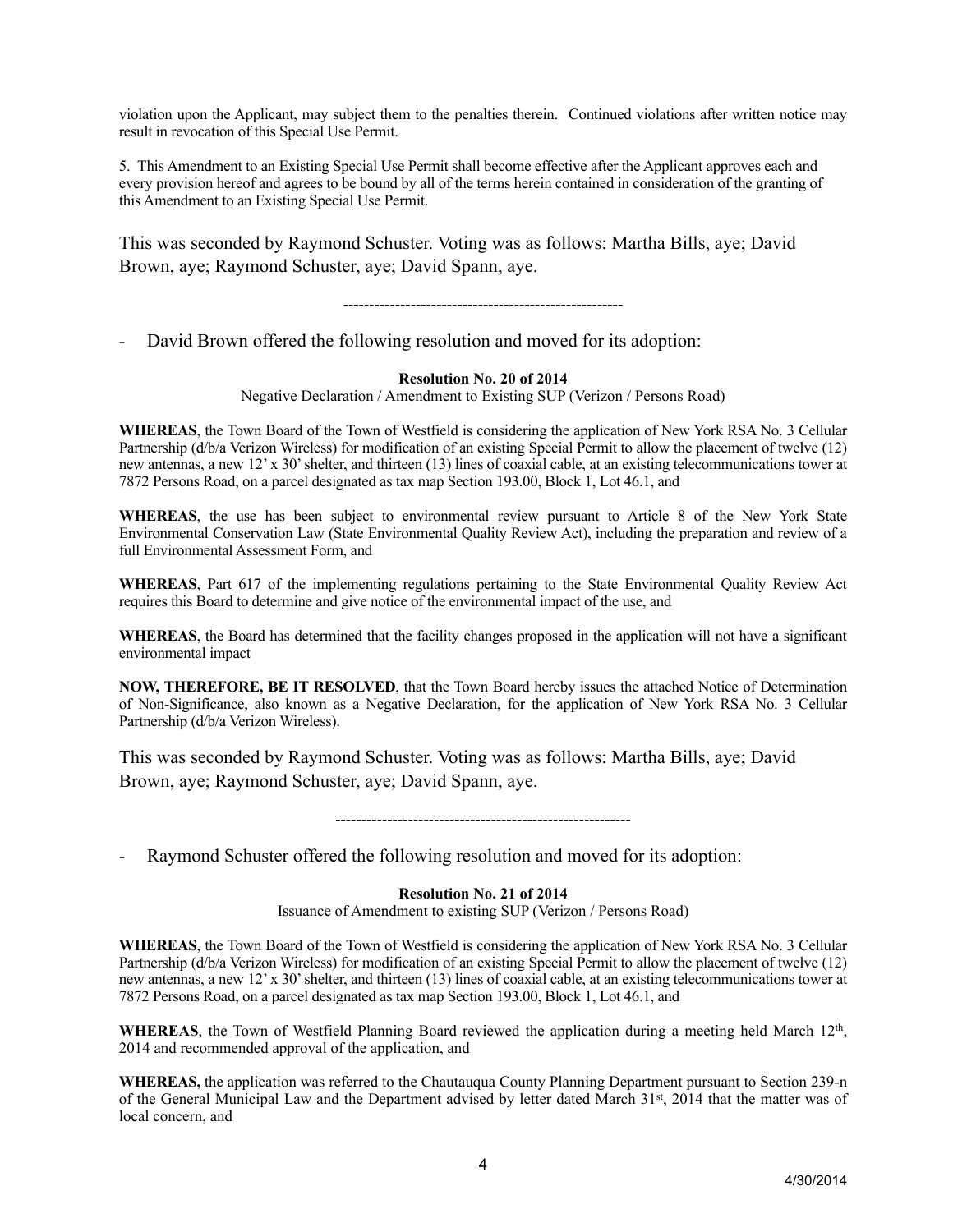violation upon the Applicant, may subject them to the penalties therein. Continued violations after written notice may result in revocation of this Special Use Permit.

5. This Amendment to an Existing Special Use Permit shall become effective after the Applicant approves each and every provision hereof and agrees to be bound by all of the terms herein contained in consideration of the granting of this Amendment to an Existing Special Use Permit.

This was seconded by Raymond Schuster. Voting was as follows: Martha Bills, aye; David Brown, aye; Raymond Schuster, aye; David Spann, aye.

------------------------------------------------------

David Brown offered the following resolution and moved for its adoption:

#### **Resolution No. 20 of 2014**

Negative Declaration / Amendment to Existing SUP (Verizon / Persons Road)

**WHEREAS**, the Town Board of the Town of Westfield is considering the application of New York RSA No. 3 Cellular Partnership (d/b/a Verizon Wireless) for modification of an existing Special Permit to allow the placement of twelve (12) new antennas, a new 12' x 30' shelter, and thirteen (13) lines of coaxial cable, at an existing telecommunications tower at 7872 Persons Road, on a parcel designated as tax map Section 193.00, Block 1, Lot 46.1, and

**WHEREAS**, the use has been subject to environmental review pursuant to Article 8 of the New York State Environmental Conservation Law (State Environmental Quality Review Act), including the preparation and review of a full Environmental Assessment Form, and

**WHEREAS**, Part 617 of the implementing regulations pertaining to the State Environmental Quality Review Act requires this Board to determine and give notice of the environmental impact of the use, and

**WHEREAS**, the Board has determined that the facility changes proposed in the application will not have a significant environmental impact

**NOW, THEREFORE, BE IT RESOLVED**, that the Town Board hereby issues the attached Notice of Determination of Non-Significance, also known as a Negative Declaration, for the application of New York RSA No. 3 Cellular Partnership (d/b/a Verizon Wireless).

This was seconded by Raymond Schuster. Voting was as follows: Martha Bills, aye; David Brown, aye; Raymond Schuster, aye; David Spann, aye.

---------------------------------------------------------

Raymond Schuster offered the following resolution and moved for its adoption:

#### **Resolution No. 21 of 2014**

Issuance of Amendment to existing SUP (Verizon / Persons Road)

**WHEREAS**, the Town Board of the Town of Westfield is considering the application of New York RSA No. 3 Cellular Partnership (d/b/a Verizon Wireless) for modification of an existing Special Permit to allow the placement of twelve (12) new antennas, a new 12' x 30' shelter, and thirteen (13) lines of coaxial cable, at an existing telecommunications tower at 7872 Persons Road, on a parcel designated as tax map Section 193.00, Block 1, Lot 46.1, and

**WHEREAS**, the Town of Westfield Planning Board reviewed the application during a meeting held March 12<sup>th</sup>, 2014 and recommended approval of the application, and

**WHEREAS,** the application was referred to the Chautauqua County Planning Department pursuant to Section 239-n of the General Municipal Law and the Department advised by letter dated March 31st, 2014 that the matter was of local concern, and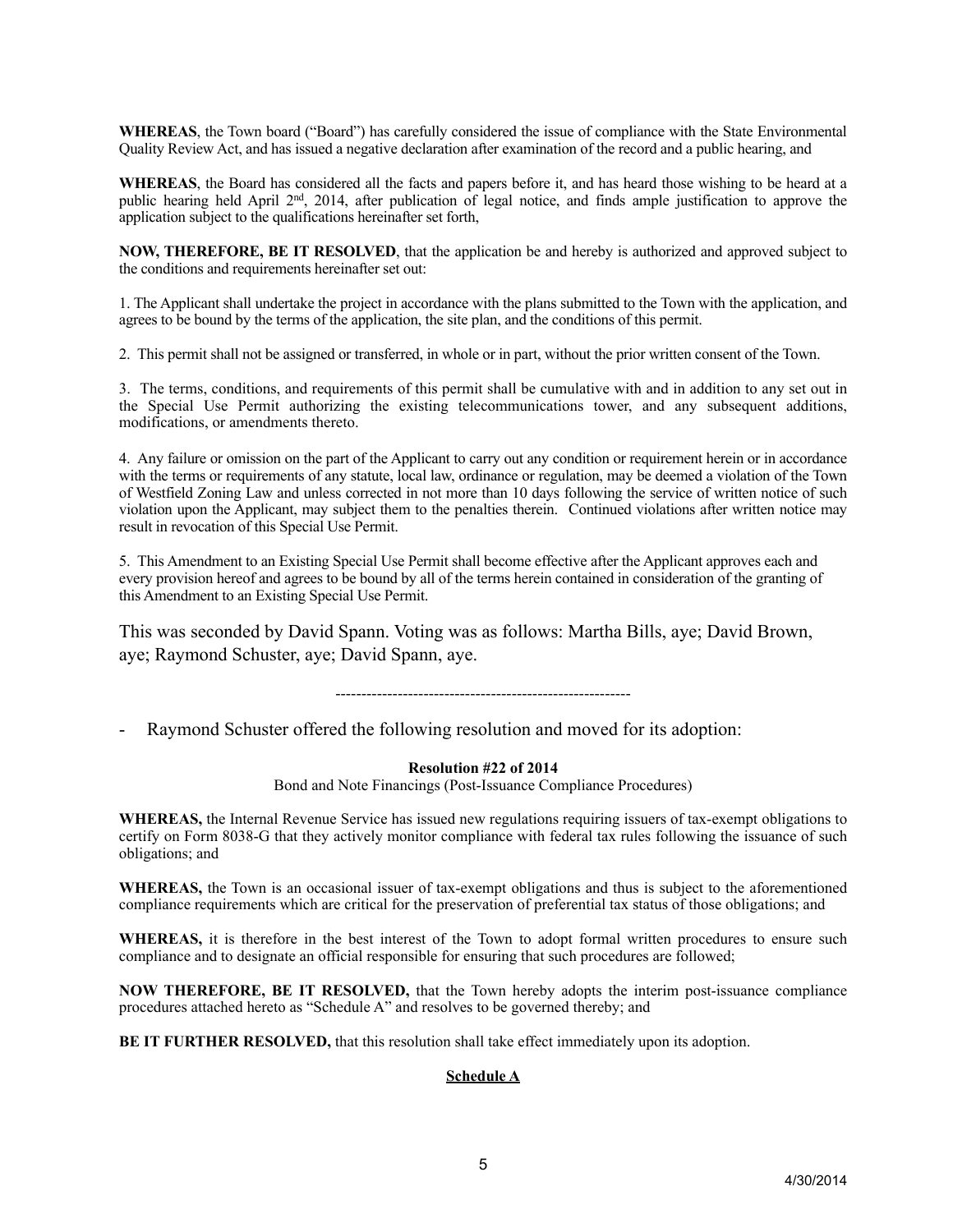**WHEREAS**, the Town board ("Board") has carefully considered the issue of compliance with the State Environmental Quality Review Act, and has issued a negative declaration after examination of the record and a public hearing, and

**WHEREAS**, the Board has considered all the facts and papers before it, and has heard those wishing to be heard at a public hearing held April 2nd, 2014, after publication of legal notice, and finds ample justification to approve the application subject to the qualifications hereinafter set forth,

**NOW, THEREFORE, BE IT RESOLVED**, that the application be and hereby is authorized and approved subject to the conditions and requirements hereinafter set out:

1. The Applicant shall undertake the project in accordance with the plans submitted to the Town with the application, and agrees to be bound by the terms of the application, the site plan, and the conditions of this permit.

2. This permit shall not be assigned or transferred, in whole or in part, without the prior written consent of the Town.

3. The terms, conditions, and requirements of this permit shall be cumulative with and in addition to any set out in the Special Use Permit authorizing the existing telecommunications tower, and any subsequent additions, modifications, or amendments thereto.

4. Any failure or omission on the part of the Applicant to carry out any condition or requirement herein or in accordance with the terms or requirements of any statute, local law, ordinance or regulation, may be deemed a violation of the Town of Westfield Zoning Law and unless corrected in not more than 10 days following the service of written notice of such violation upon the Applicant, may subject them to the penalties therein. Continued violations after written notice may result in revocation of this Special Use Permit.

5. This Amendment to an Existing Special Use Permit shall become effective after the Applicant approves each and every provision hereof and agrees to be bound by all of the terms herein contained in consideration of the granting of this Amendment to an Existing Special Use Permit.

This was seconded by David Spann. Voting was as follows: Martha Bills, aye; David Brown, aye; Raymond Schuster, aye; David Spann, aye.

---------------------------------------------------------

Raymond Schuster offered the following resolution and moved for its adoption:

#### **Resolution #22 of 2014**

Bond and Note Financings (Post-Issuance Compliance Procedures)

**WHEREAS,** the Internal Revenue Service has issued new regulations requiring issuers of tax-exempt obligations to certify on Form 8038-G that they actively monitor compliance with federal tax rules following the issuance of such obligations; and

**WHEREAS,** the Town is an occasional issuer of tax-exempt obligations and thus is subject to the aforementioned compliance requirements which are critical for the preservation of preferential tax status of those obligations; and

**WHEREAS,** it is therefore in the best interest of the Town to adopt formal written procedures to ensure such compliance and to designate an official responsible for ensuring that such procedures are followed;

**NOW THEREFORE, BE IT RESOLVED,** that the Town hereby adopts the interim post-issuance compliance procedures attached hereto as "Schedule A" and resolves to be governed thereby; and

**BE IT FURTHER RESOLVED, that this resolution shall take effect immediately upon its adoption.** 

#### **Schedule A**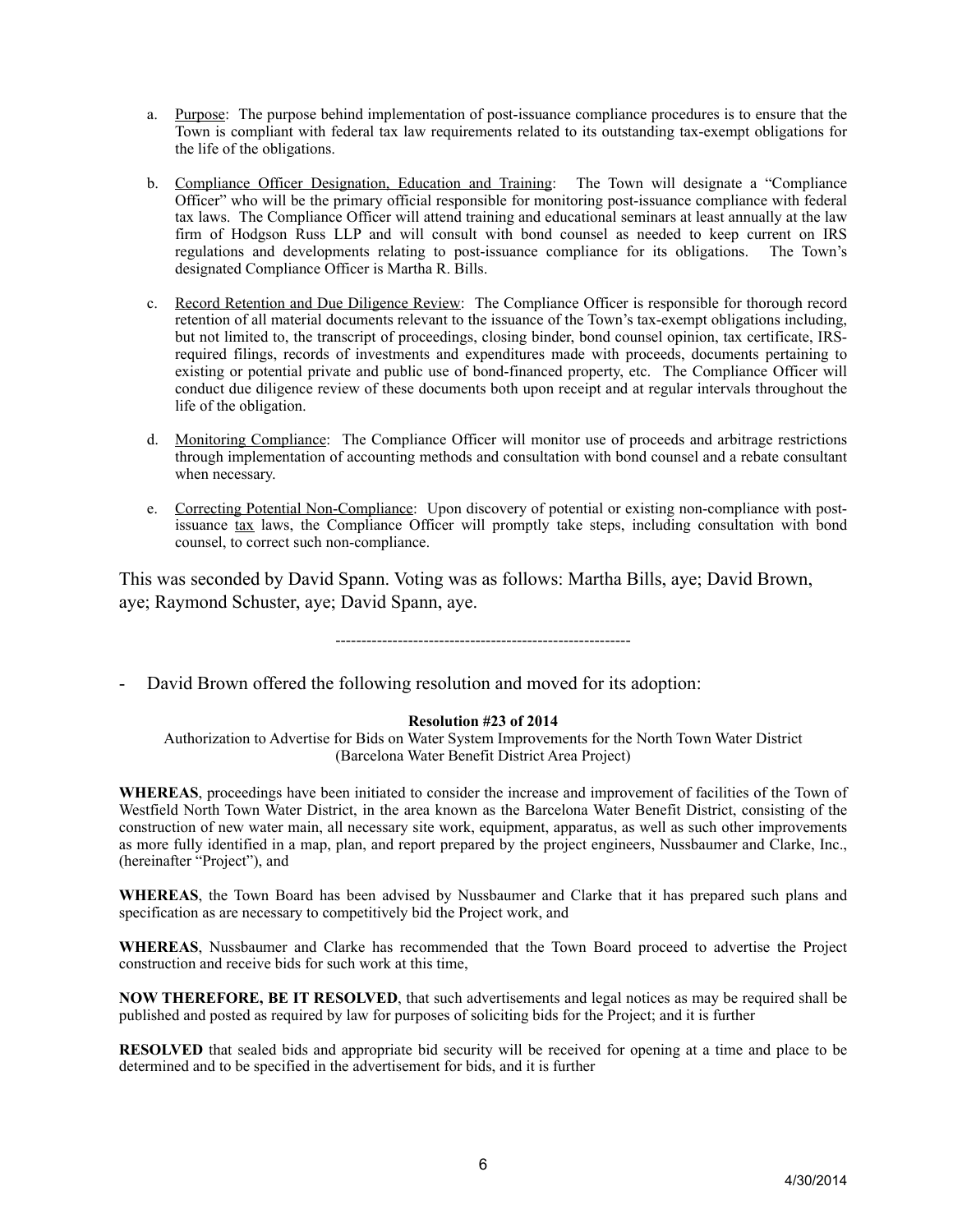- a. Purpose: The purpose behind implementation of post-issuance compliance procedures is to ensure that the Town is compliant with federal tax law requirements related to its outstanding tax-exempt obligations for the life of the obligations.
- b. Compliance Officer Designation, Education and Training: The Town will designate a "Compliance Officer" who will be the primary official responsible for monitoring post-issuance compliance with federal tax laws. The Compliance Officer will attend training and educational seminars at least annually at the law firm of Hodgson Russ LLP and will consult with bond counsel as needed to keep current on IRS regulations and developments relating to post-issuance compliance for its obligations. The Town's designated Compliance Officer is Martha R. Bills.
- c. Record Retention and Due Diligence Review: The Compliance Officer is responsible for thorough record retention of all material documents relevant to the issuance of the Town's tax-exempt obligations including, but not limited to, the transcript of proceedings, closing binder, bond counsel opinion, tax certificate, IRSrequired filings, records of investments and expenditures made with proceeds, documents pertaining to existing or potential private and public use of bond-financed property, etc. The Compliance Officer will conduct due diligence review of these documents both upon receipt and at regular intervals throughout the life of the obligation.
- d. Monitoring Compliance: The Compliance Officer will monitor use of proceeds and arbitrage restrictions through implementation of accounting methods and consultation with bond counsel and a rebate consultant when necessary.
- e. Correcting Potential Non-Compliance: Upon discovery of potential or existing non-compliance with postissuance tax laws, the Compliance Officer will promptly take steps, including consultation with bond counsel, to correct such non-compliance.

This was seconded by David Spann. Voting was as follows: Martha Bills, aye; David Brown, aye; Raymond Schuster, aye; David Spann, aye.

---------------------------------------------------------

- David Brown offered the following resolution and moved for its adoption:

#### **Resolution #23 of 2014**

Authorization to Advertise for Bids on Water System Improvements for the North Town Water District (Barcelona Water Benefit District Area Project)

**WHEREAS**, proceedings have been initiated to consider the increase and improvement of facilities of the Town of Westfield North Town Water District, in the area known as the Barcelona Water Benefit District, consisting of the construction of new water main, all necessary site work, equipment, apparatus, as well as such other improvements as more fully identified in a map, plan, and report prepared by the project engineers, Nussbaumer and Clarke, Inc., (hereinafter "Project"), and

**WHEREAS**, the Town Board has been advised by Nussbaumer and Clarke that it has prepared such plans and specification as are necessary to competitively bid the Project work, and

**WHEREAS**, Nussbaumer and Clarke has recommended that the Town Board proceed to advertise the Project construction and receive bids for such work at this time,

**NOW THEREFORE, BE IT RESOLVED**, that such advertisements and legal notices as may be required shall be published and posted as required by law for purposes of soliciting bids for the Project; and it is further

**RESOLVED** that sealed bids and appropriate bid security will be received for opening at a time and place to be determined and to be specified in the advertisement for bids, and it is further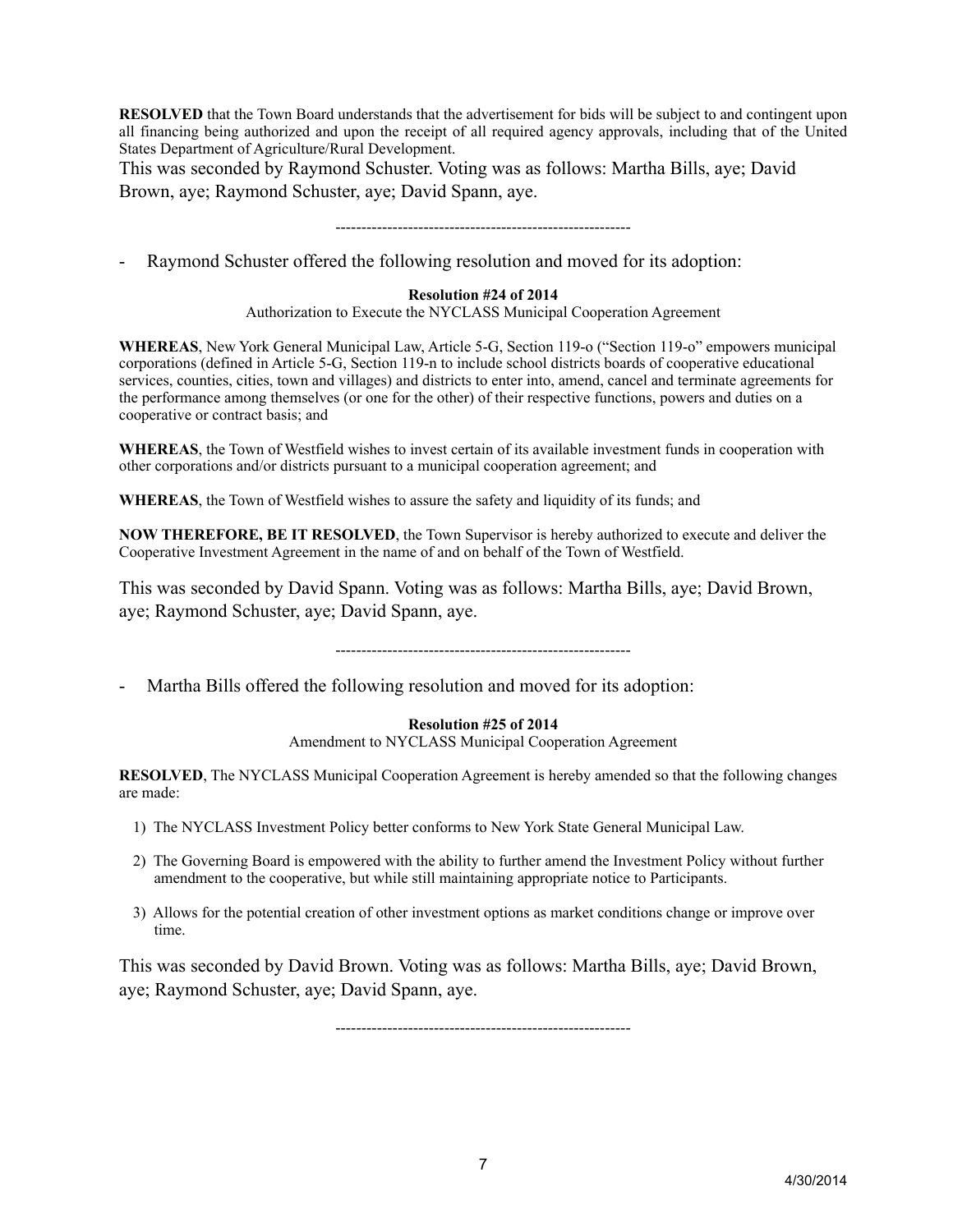**RESOLVED** that the Town Board understands that the advertisement for bids will be subject to and contingent upon all financing being authorized and upon the receipt of all required agency approvals, including that of the United States Department of Agriculture/Rural Development.

This was seconded by Raymond Schuster. Voting was as follows: Martha Bills, aye; David Brown, aye; Raymond Schuster, aye; David Spann, aye.

---------------------------------------------------------

Raymond Schuster offered the following resolution and moved for its adoption:

### **Resolution #24 of 2014**

Authorization to Execute the NYCLASS Municipal Cooperation Agreement

**WHEREAS**, New York General Municipal Law, Article 5-G, Section 119-o ("Section 119-o" empowers municipal corporations (defined in Article 5-G, Section 119-n to include school districts boards of cooperative educational services, counties, cities, town and villages) and districts to enter into, amend, cancel and terminate agreements for the performance among themselves (or one for the other) of their respective functions, powers and duties on a cooperative or contract basis; and

**WHEREAS**, the Town of Westfield wishes to invest certain of its available investment funds in cooperation with other corporations and/or districts pursuant to a municipal cooperation agreement; and

**WHEREAS**, the Town of Westfield wishes to assure the safety and liquidity of its funds; and

**NOW THEREFORE, BE IT RESOLVED**, the Town Supervisor is hereby authorized to execute and deliver the Cooperative Investment Agreement in the name of and on behalf of the Town of Westfield.

This was seconded by David Spann. Voting was as follows: Martha Bills, aye; David Brown, aye; Raymond Schuster, aye; David Spann, aye.

---------------------------------------------------------

Martha Bills offered the following resolution and moved for its adoption:

#### **Resolution #25 of 2014**

Amendment to NYCLASS Municipal Cooperation Agreement

**RESOLVED**, The NYCLASS Municipal Cooperation Agreement is hereby amended so that the following changes are made:

- 1) The NYCLASS Investment Policy better conforms to New York State General Municipal Law.
- 2) The Governing Board is empowered with the ability to further amend the Investment Policy without further amendment to the cooperative, but while still maintaining appropriate notice to Participants.
- 3) Allows for the potential creation of other investment options as market conditions change or improve over time.

This was seconded by David Brown. Voting was as follows: Martha Bills, aye; David Brown, aye; Raymond Schuster, aye; David Spann, aye.

---------------------------------------------------------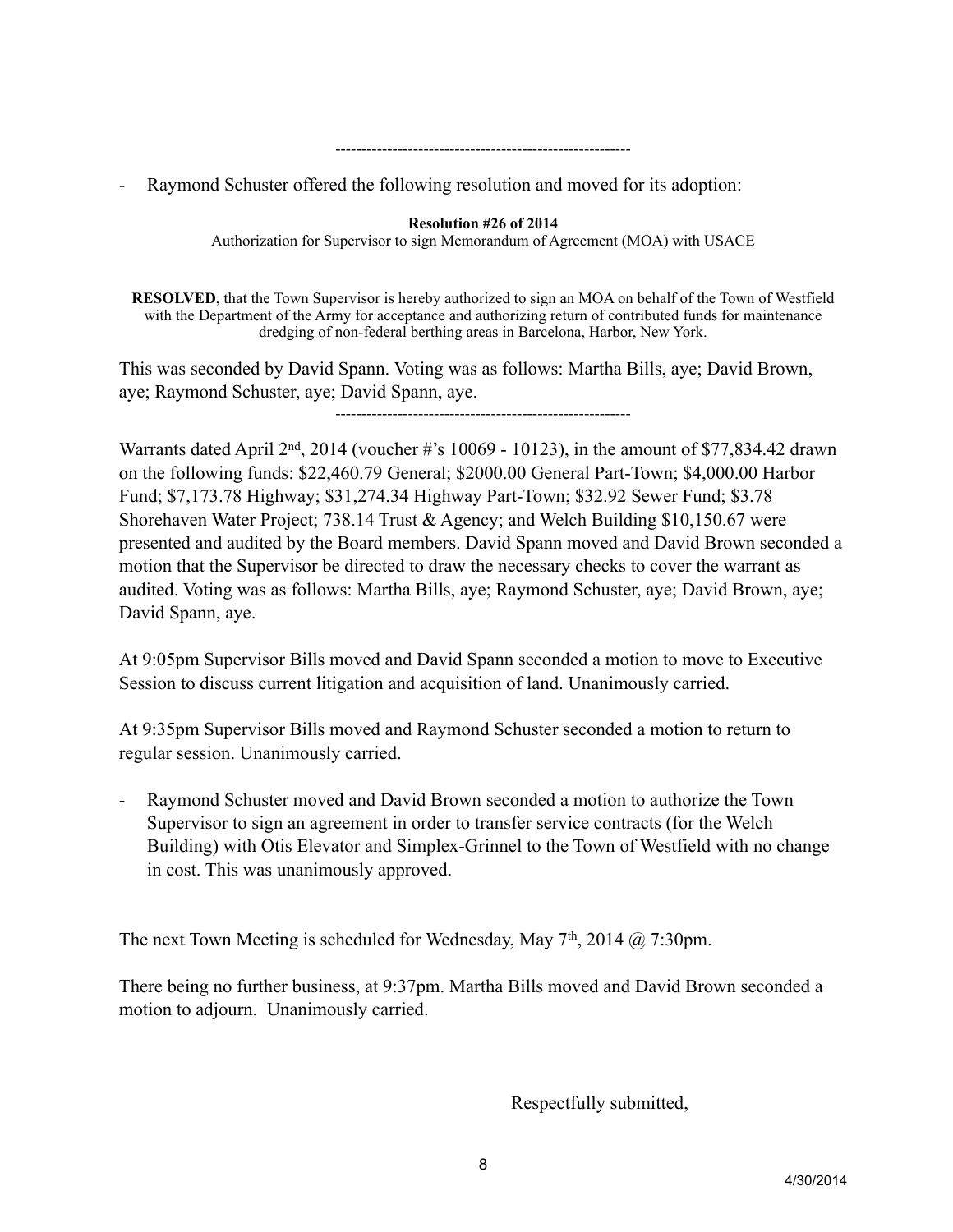#### ---------------------------------------------------------

- Raymond Schuster offered the following resolution and moved for its adoption:

### **Resolution #26 of 2014**

Authorization for Supervisor to sign Memorandum of Agreement (MOA) with USACE

**RESOLVED**, that the Town Supervisor is hereby authorized to sign an MOA on behalf of the Town of Westfield with the Department of the Army for acceptance and authorizing return of contributed funds for maintenance dredging of non-federal berthing areas in Barcelona, Harbor, New York.

This was seconded by David Spann. Voting was as follows: Martha Bills, aye; David Brown, aye; Raymond Schuster, aye; David Spann, aye.

---------------------------------------------------------

Warrants dated April  $2<sup>nd</sup>$ , 2014 (voucher #'s 10069 - 10123), in the amount of \$77,834.42 drawn on the following funds: \$22,460.79 General; \$2000.00 General Part-Town; \$4,000.00 Harbor Fund; \$7,173.78 Highway; \$31,274.34 Highway Part-Town; \$32.92 Sewer Fund; \$3.78 Shorehaven Water Project; 738.14 Trust & Agency; and Welch Building \$10,150.67 were presented and audited by the Board members. David Spann moved and David Brown seconded a motion that the Supervisor be directed to draw the necessary checks to cover the warrant as audited. Voting was as follows: Martha Bills, aye; Raymond Schuster, aye; David Brown, aye; David Spann, aye.

At 9:05pm Supervisor Bills moved and David Spann seconded a motion to move to Executive Session to discuss current litigation and acquisition of land. Unanimously carried.

At 9:35pm Supervisor Bills moved and Raymond Schuster seconded a motion to return to regular session. Unanimously carried.

- Raymond Schuster moved and David Brown seconded a motion to authorize the Town Supervisor to sign an agreement in order to transfer service contracts (for the Welch Building) with Otis Elevator and Simplex-Grinnel to the Town of Westfield with no change in cost. This was unanimously approved.

The next Town Meeting is scheduled for Wednesday, May 7<sup>th</sup>, 2014 @ 7:30pm.

There being no further business, at 9:37pm. Martha Bills moved and David Brown seconded a motion to adjourn. Unanimously carried.

Respectfully submitted,